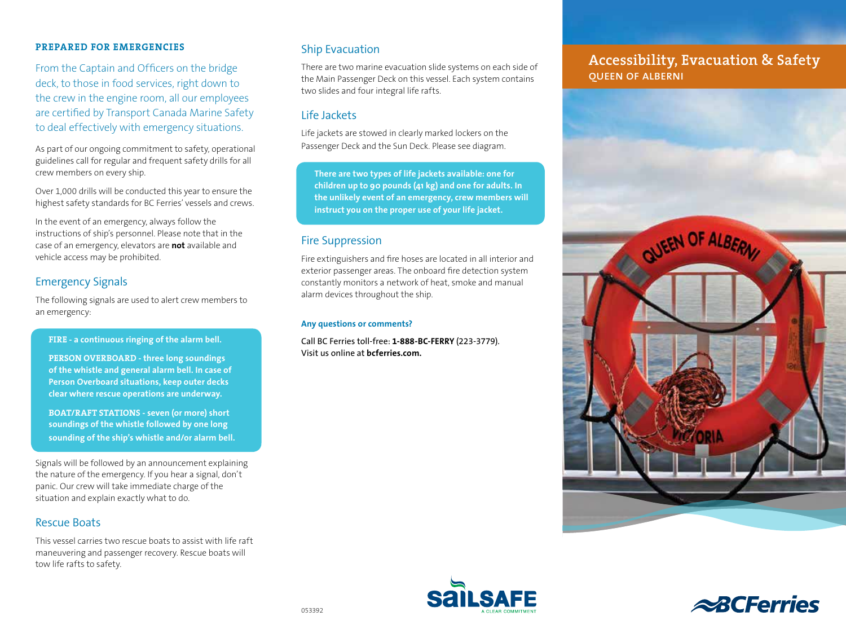### **PREPARED FOR EMERGENCIES**

From the Captain and Officers on the bridge deck, to those in food services, right down to the crew in the engine room, all our employees are certified by Transport Canada Marine Safety to deal effectively with emergency situations.

As part of our ongoing commitment to safety, operational guidelines call for regular and frequent safety drills for all crew members on every ship.

Over 1,000 drills will be conducted this year to ensure the highest safety standards for BC Ferries' vessels and crews.

In the event of an emergency, always follow the instructions of ship's personnel. Please note that in the case of an emergency, elevators are **not** available and vehicle access may be prohibited.

### Emergency Signals

The following signals are used to alert crew members to an emergency:

### **FIRE - a continuous ringing of the alarm bell.**

**PERSON OVERBOARD - three long soundings of the whistle and general alarm bell. In case of Person Overboard situations, keep outer decks clear where rescue operations are underway.** 

**BOAT/RAFT STATIONS - seven (or more) short soundings of the whistle followed by one long sounding of the ship's whistle and/or alarm bell.** 

Signals will be followed by an announcement explaining the nature of the emergency. If you hear a signal, don't panic. Our crew will take immediate charge of the situation and explain exactly what to do.

### Rescue Boats

This vessel carries two rescue boats to assist with life raft maneuvering and passenger recovery. Rescue boats will tow life rafts to safety.

### Ship Evacuation

There are two marine evacuation slide systems on each side of the Main Passenger Deck on this vessel. Each system contains two slides and four integral life rafts.

### Life Jackets

Life jackets are stowed in clearly marked lockers on the Passenger Deck and the Sun Deck. Please see diagram.

**There are two types of life jackets available: one for children up to 90 pounds (41 kg) and one for adults. In the unlikely event of an emergency, crew members will instruct you on the proper use of your life jacket.**

### Fire Suppression

Fire extinguishers and fire hoses are located in all interior and exterior passenger areas. The onboard fire detection system constantly monitors a network of heat, smoke and manual alarm devices throughout the ship.

### **Any questions or comments?**

Call BC Ferries toll-free: **1-888-BC-FERRY** (223-3779). Visit us online at **bcferries.com.**

### **Accessibility, Evacuation & Safety** queen of alberni





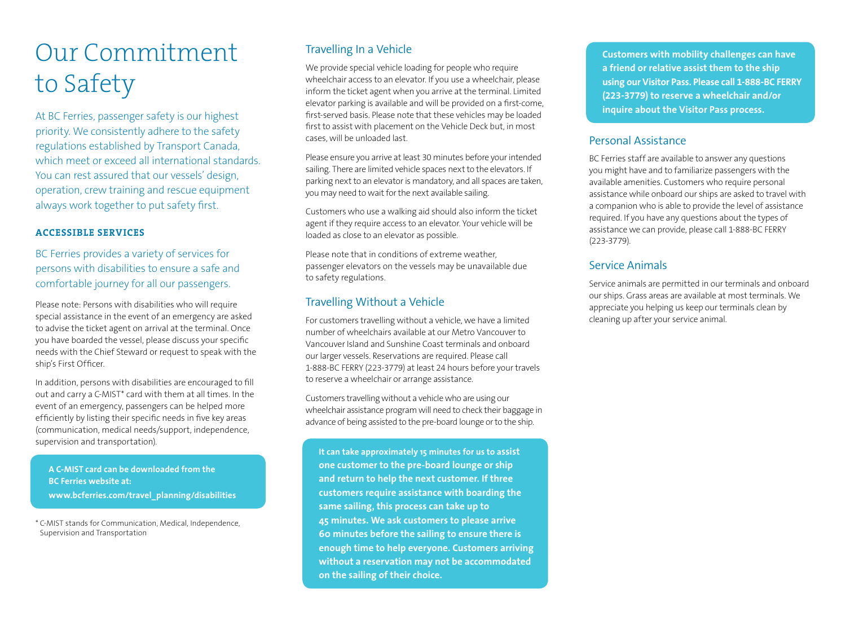# Our Commitment to Safety

At BC Ferries, passenger safety is our highest priority. We consistently adhere to the safety regulations established by Transport Canada, which meet or exceed all international standards. You can rest assured that our vessels' design, operation, crew training and rescue equipment always work together to put safety first.

### **ACCESSIBLE SERVICES**

BC Ferries provides a variety of services for persons with disabilities to ensure a safe and comfortable journey for all our passengers.

Please note: Persons with disabilities who will require special assistance in the event of an emergency are asked to advise the ticket agent on arrival at the terminal. Once you have boarded the vessel, please discuss your specific needs with the Chief Steward or request to speak with the ship's First Officer.

In addition, persons with disabilities are encouraged to fill out and carry a C-MIST\* card with them at all times. In the event of an emergency, passengers can be helped more efficiently by listing their specific needs in five key areas (communication, medical needs/support, independence, supervision and transportation).

**A C-MIST card can be downloaded from the BC Ferries website at: www.bcferries.com/travel\_planning/disabilities**

\* C-MIST stands for Communication, Medical, Independence, Supervision and Transportation

### Travelling In a Vehicle

We provide special vehicle loading for people who require wheelchair access to an elevator. If you use a wheelchair, please inform the ticket agent when you arrive at the terminal. Limited elevator parking is available and will be provided on a first-come, first-served basis. Please note that these vehicles may be loaded first to assist with placement on the Vehicle Deck but, in most cases, will be unloaded last.

Please ensure you arrive at least 30 minutes before your intended sailing. There are limited vehicle spaces next to the elevators. If parking next to an elevator is mandatory, and all spaces are taken, you may need to wait for the next available sailing.

Customers who use a walking aid should also inform the ticket agent if they require access to an elevator. Your vehicle will be loaded as close to an elevator as possible.

Please note that in conditions of extreme weather, passenger elevators on the vessels may be unavailable due to safety regulations.

### Travelling Without a Vehicle

For customers travelling without a vehicle, we have a limited number of wheelchairs available at our Metro Vancouver to Vancouver Island and Sunshine Coast terminals and onboard our larger vessels. Reservations are required. Please call 1-888-BC FERRY (223-3779) at least 24 hours before your travels to reserve a wheelchair or arrange assistance.

Customers travelling without a vehicle who are using our wheelchair assistance program will need to check their baggage in advance of being assisted to the pre-board lounge or to the ship.

**It can take approximately 15 minutes for us to assist one customer to the pre-board lounge or ship and return to help the next customer. If three customers require assistance with boarding the same sailing, this process can take up to 45 minutes. We ask customers to please arrive 60 minutes before the sailing to ensure there is enough time to help everyone. Customers arriving without a reservation may not be accommodated on the sailing of their choice.**

**Customers with mobility challenges can have a friend or relative assist them to the ship using our Visitor Pass. Please call 1-888-BC FERRY (223-3779) to reserve a wheelchair and/or inquire about the Visitor Pass process.**

### Personal Assistance

BC Ferries staff are available to answer any questions you might have and to familiarize passengers with the available amenities. Customers who require personal assistance while onboard our ships are asked to travel with a companion who is able to provide the level of assistance required. If you have any questions about the types of assistance we can provide, please call 1-888-BC FERRY (223-3779).

### Service Animals

Service animals are permitted in our terminals and onboard our ships. Grass areas are available at most terminals. We appreciate you helping us keep our terminals clean by cleaning up after your service animal.